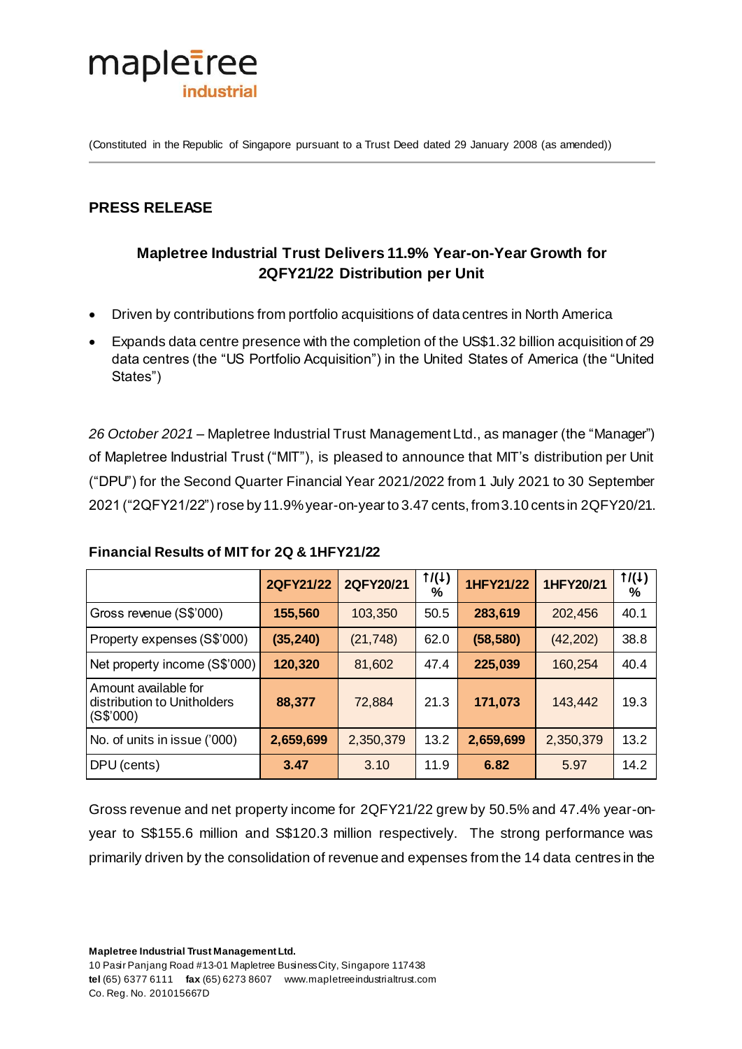

(Constituted in the Republic of Singapore pursuant to a Trust Deed dated 29 January 2008 (as amended))

## **PRESS RELEASE**

# **Mapletree Industrial Trust Delivers 11.9% Year-on-Year Growth for 2QFY21/22 Distribution per Unit**

- Driven by contributions from portfolio acquisitions of data centres in North America
- Expands data centre presence with the completion of the US\$1.32 billion acquisition of 29 data centres (the "US Portfolio Acquisition") in the United States of America (the "United States")

*26 October 2021* – Mapletree Industrial Trust Management Ltd., as manager (the "Manager") of Mapletree Industrial Trust ("MIT"), is pleased to announce that MIT's distribution per Unit ("DPU") for the Second Quarter Financial Year 2021/2022 from 1 July 2021 to 30 September 2021 ("2QFY21/22") rose by 11.9% year-on-year to 3.47 cents, from 3.10 cents in 2QFY20/21.

|                                                                  | 2QFY21/22 | 2QFY20/21 | 1/(1)<br>$\%$ | 1HFY21/22 | 1HFY20/21 | 1/(1)<br>% |
|------------------------------------------------------------------|-----------|-----------|---------------|-----------|-----------|------------|
| Gross revenue (S\$'000)                                          | 155,560   | 103,350   | 50.5          | 283,619   | 202,456   | 40.1       |
| Property expenses (S\$'000)                                      | (35, 240) | (21, 748) | 62.0          | (58, 580) | (42, 202) | 38.8       |
| Net property income (S\$'000)                                    | 120,320   | 81,602    | 47.4          | 225,039   | 160,254   | 40.4       |
| Amount available for<br>distribution to Unitholders<br>(S\$'000) | 88,377    | 72,884    | 21.3          | 171,073   | 143,442   | 19.3       |
| No. of units in issue ('000)                                     | 2,659,699 | 2,350,379 | 13.2          | 2,659,699 | 2,350,379 | 13.2       |
| DPU (cents)                                                      | 3.47      | 3.10      | 11.9          | 6.82      | 5.97      | 14.2       |

#### **Financial Results of MIT for 2Q & 1HFY21/22**

Gross revenue and net property income for 2QFY21/22 grew by 50.5% and 47.4% year-onyear to S\$155.6 million and S\$120.3 million respectively. The strong performance was primarily driven by the consolidation of revenue and expenses from the 14 data centres in the

**Mapletree Industrial Trust Management Ltd.**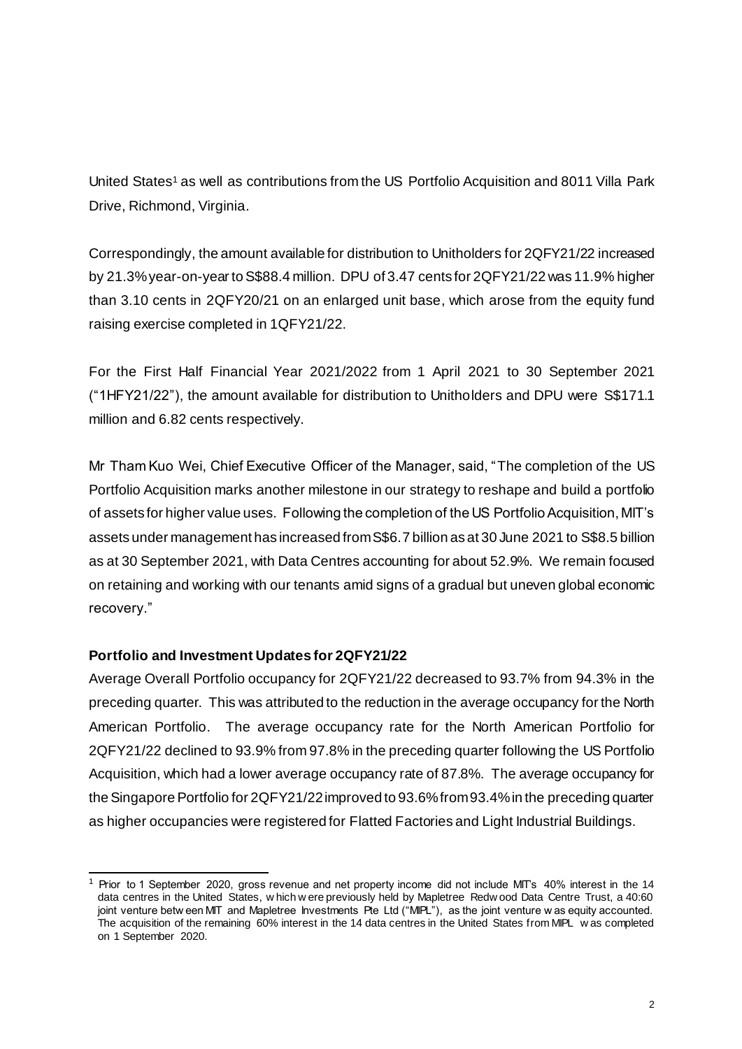United States<sup>1</sup> as well as contributions from the US Portfolio Acquisition and 8011 Villa Park Drive, Richmond, Virginia.

Correspondingly, the amount available for distribution to Unitholders for 2QFY21/22 increased by 21.3% year-on-year to S\$88.4 million. DPU of 3.47 cents for 2QFY21/22 was 11.9% higher than 3.10 cents in 2QFY20/21 on an enlarged unit base, which arose from the equity fund raising exercise completed in 1QFY21/22.

For the First Half Financial Year 2021/2022 from 1 April 2021 to 30 September 2021 ("1HFY21/22"), the amount available for distribution to Unitholders and DPU were S\$171.1 million and 6.82 cents respectively.

Mr Tham Kuo Wei, Chief Executive Officer of the Manager, said, "The completion of the US Portfolio Acquisition marks another milestone in our strategy to reshape and build a portfolio of assets for higher value uses. Following the completion of the US Portfolio Acquisition, MIT's assets under management has increased from S\$6.7 billion as at 30 June 2021 to S\$8.5 billion as at 30 September 2021, with Data Centres accounting for about 52.9%. We remain focused on retaining and working with our tenants amid signs of a gradual but uneven global economic recovery."

### **Portfolio and Investment Updates for 2QFY21/22**

Average Overall Portfolio occupancy for 2QFY21/22 decreased to 93.7% from 94.3% in the preceding quarter. This was attributed to the reduction in the average occupancy for the North American Portfolio. The average occupancy rate for the North American Portfolio for 2QFY21/22 declined to 93.9% from 97.8% in the preceding quarter following the US Portfolio Acquisition, which had a lower average occupancy rate of 87.8%. The average occupancy for the Singapore Portfolio for 2QFY21/22improved to 93.6% from 93.4% in the preceding quarter as higher occupancies were registered for Flatted Factories and Light Industrial Buildings.

<sup>.</sup> 1 Prior to 1 September 2020, gross revenue and net property income did not include MIT's 40% interest in the 14 data centres in the United States, w hich w ere previously held by Mapletree Redw ood Data Centre Trust, a 40:60 joint venture betw een MIT and Mapletree Investments Pte Ltd ("MIPL"), as the joint venture w as equity accounted. The acquisition of the remaining 60% interest in the 14 data centres in the United States from MIPL w as completed on 1 September 2020.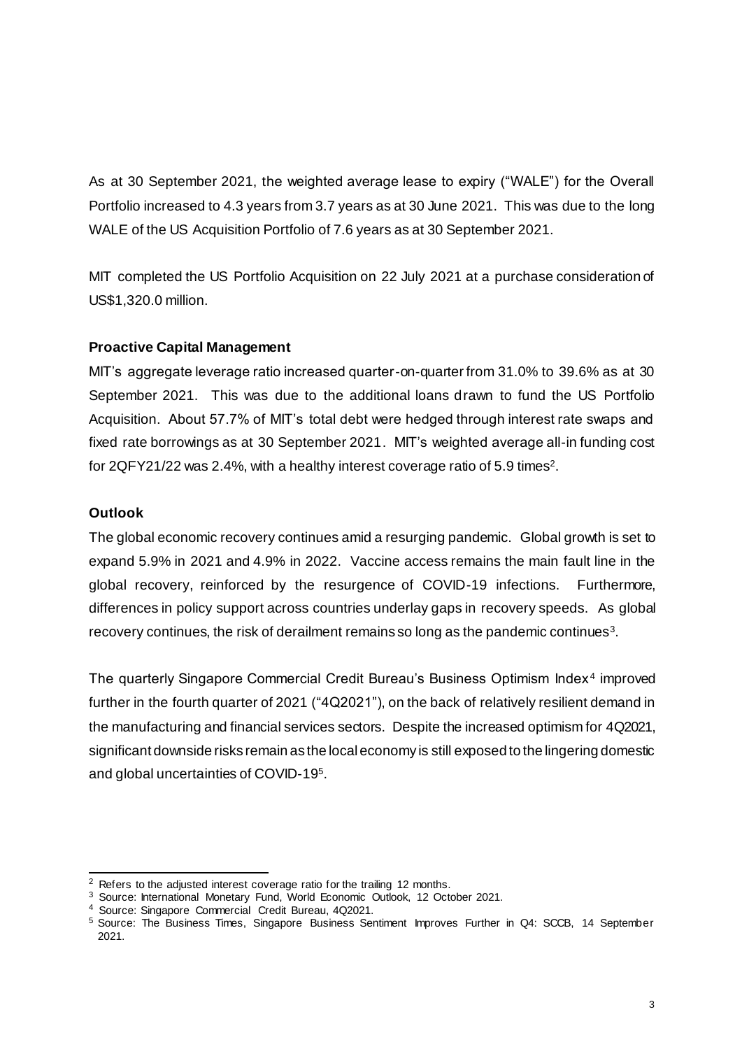As at 30 September 2021, the weighted average lease to expiry ("WALE") for the Overall Portfolio increased to 4.3 years from 3.7 years as at 30 June 2021. This was due to the long WALE of the US Acquisition Portfolio of 7.6 years as at 30 September 2021.

MIT completed the US Portfolio Acquisition on 22 July 2021 at a purchase consideration of US\$1,320.0 million.

### **Proactive Capital Management**

MIT's aggregate leverage ratio increased quarter-on-quarter from 31.0% to 39.6% as at 30 September 2021. This was due to the additional loans drawn to fund the US Portfolio Acquisition. About 57.7% of MIT's total debt were hedged through interest rate swaps and fixed rate borrowings as at 30 September 2021. MIT's weighted average all-in funding cost for 2QFY21/22 was 2.4%, with a healthy interest coverage ratio of 5.9 times<sup>2</sup>.

### **Outlook**

The global economic recovery continues amid a resurging pandemic. Global growth is set to expand 5.9% in 2021 and 4.9% in 2022. Vaccine access remains the main fault line in the global recovery, reinforced by the resurgence of COVID-19 infections. Furthermore, differences in policy support across countries underlay gaps in recovery speeds. As global recovery continues, the risk of derailment remains so long as the pandemic continues<sup>3</sup>.

The quarterly Singapore Commercial Credit Bureau's Business Optimism Index<sup>4</sup> improved further in the fourth quarter of 2021 ("4Q2021"), on the back of relatively resilient demand in the manufacturing and financial services sectors. Despite the increased optimism for 4Q2021, significant downside risks remain as the local economy is still exposed to the lingering domestic and global uncertainties of COVID-19 5 .

<sup>.</sup> <sup>2</sup> Refers to the adjusted interest coverage ratio for the trailing 12 months.

<sup>&</sup>lt;sup>3</sup> Source: International Monetary Fund, World Economic Outlook, 12 October 2021.

<sup>4</sup> Source: Singapore Commercial Credit Bureau, 4Q2021.

<sup>5</sup> Source: The Business Times, Singapore Business Sentiment Improves Further in Q4: SCCB, 14 September 2021.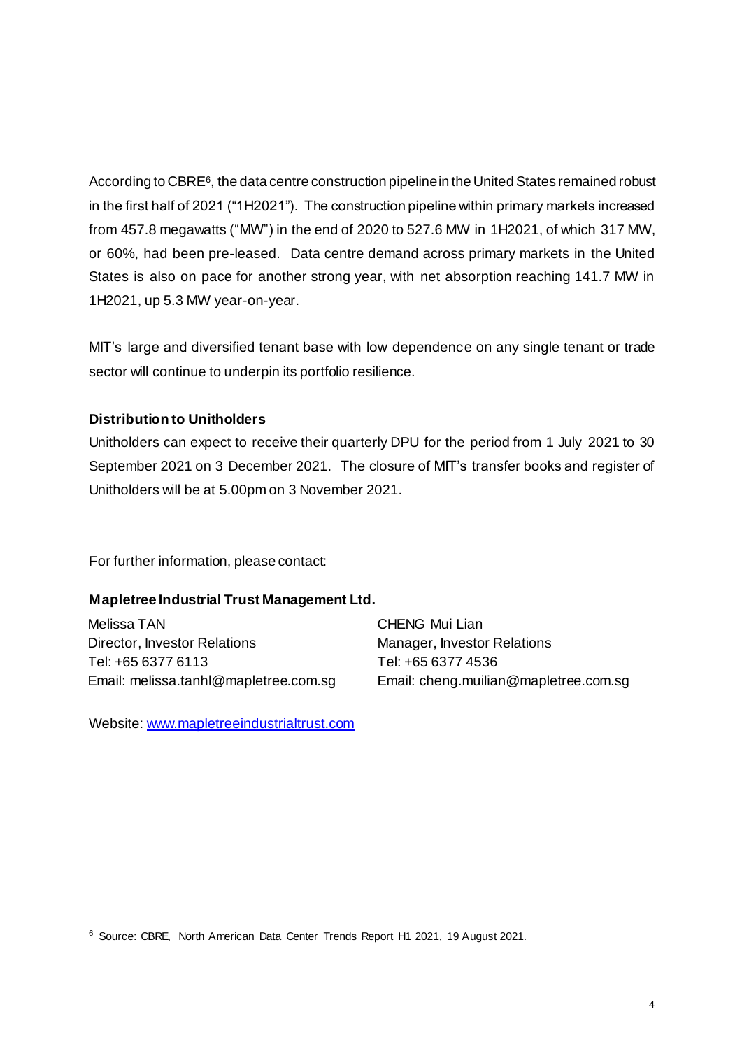According to CBRE6, the data centre construction pipeline in the United States remained robust in the first half of 2021 ("1H2021"). The construction pipeline within primary markets increased from 457.8 megawatts ("MW") in the end of 2020 to 527.6 MW in 1H2021, of which 317 MW, or 60%, had been pre-leased. Data centre demand across primary markets in the United States is also on pace for another strong year, with net absorption reaching 141.7 MW in 1H2021, up 5.3 MW year-on-year.

MIT's large and diversified tenant base with low dependence on any single tenant or trade sector will continue to underpin its portfolio resilience.

### **Distribution to Unitholders**

Unitholders can expect to receive their quarterly DPU for the period from 1 July 2021 to 30 September 2021 on 3 December 2021. The closure of MIT's transfer books and register of Unitholders will be at 5.00pm on 3 November 2021.

For further information, please contact:

### **Mapletree Industrial Trust Management Ltd.**

Melissa TAN Director, Investor Relations Tel: +65 6377 6113 Email: melissa.tanhl@mapletree.com.sg CHENG Mui Lian Manager, Investor Relations Tel: +65 6377 4536 Email: cheng.muilian@mapletree.com.sg

Website[: www.mapletreeindustrialtrust.com](http://www.mapletreeindustrialtrust.com/)

 6 Source: CBRE, North American Data Center Trends Report H1 2021, 19 August 2021.